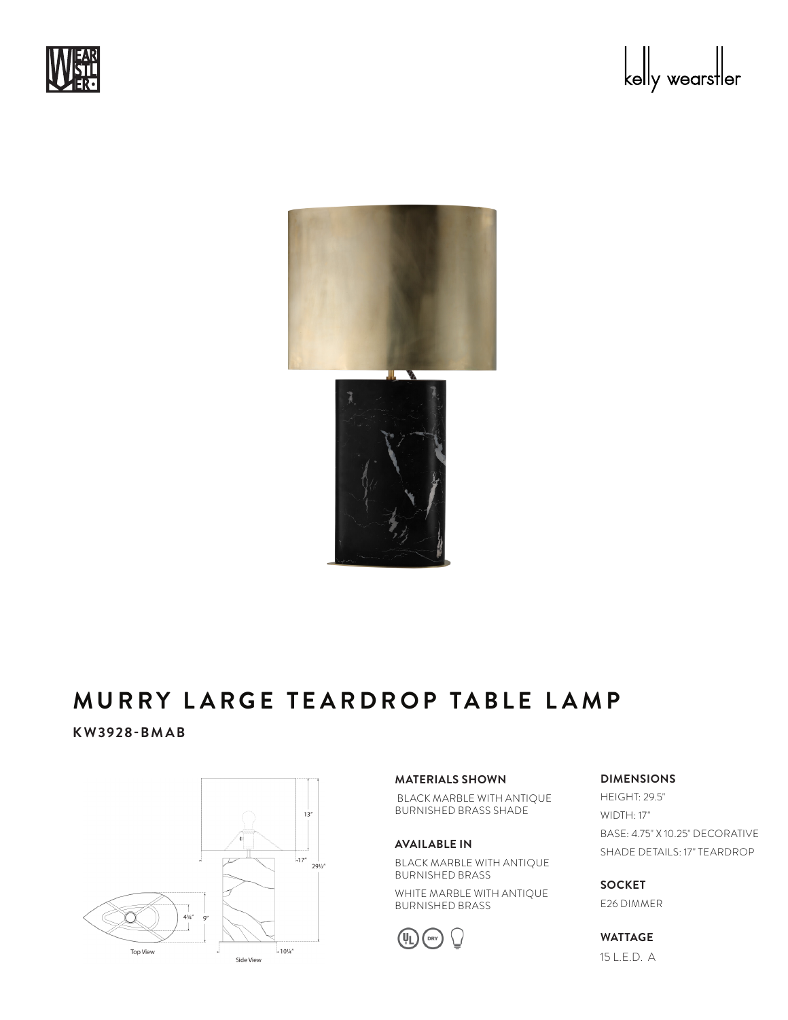





#### **MURRY LARGE TEARDROP TABLE LAMP** A I I D D V  $\cdots$   $\cdots$   $\cdots$   $\cdots$

**KW3928-BMAB**



## **MATERIALS SHOWN**

 BLACK MARBLE WITH ANTIQUE BURNISHED BRASS SHADE

### **AVAILABLE IN**

BLACK MARBLE WITH ANTIQUE BURNISHED BRASS

WHITE MARBLE WITH ANTIQUE BURNISHED BRASS



# **DIMENSIONS**

HEIGHT: 29.5" WIDTH: 17" BASE: 4.75" X 10.25" DECORATIVE SHADE DETAILS: 17" TEARDROP

**SOCKET** E26 DIMMER

**WATTAGE** 15 L.E.D. A